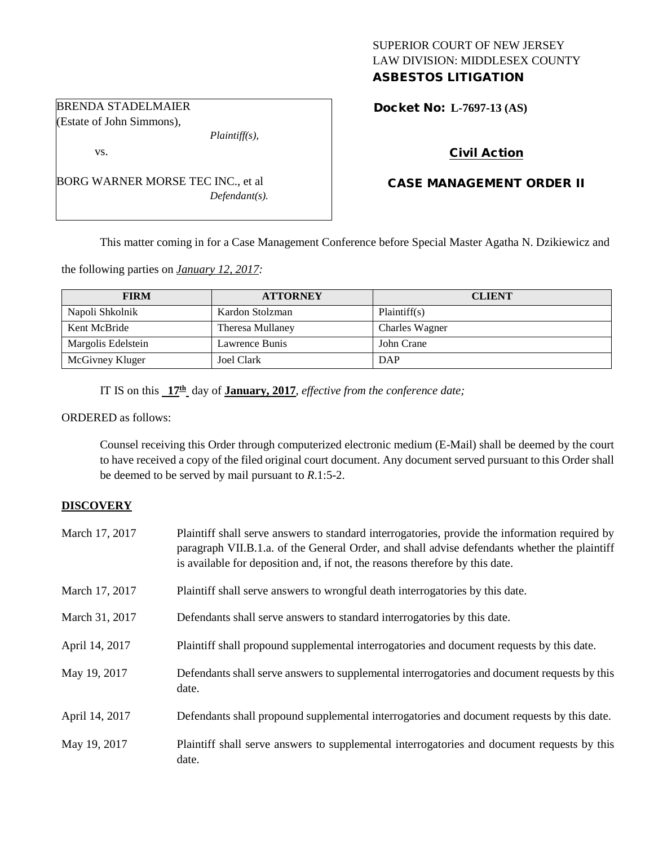# SUPERIOR COURT OF NEW JERSEY LAW DIVISION: MIDDLESEX COUNTY ASBESTOS LITIGATION

Docket No: **L-7697-13 (AS)** 

# Civil Action

# CASE MANAGEMENT ORDER II

This matter coming in for a Case Management Conference before Special Master Agatha N. Dzikiewicz and

the following parties on *January 12, 2017:*

| <b>FIRM</b>        | <b>ATTORNEY</b>  | <b>CLIENT</b>  |
|--------------------|------------------|----------------|
| Napoli Shkolnik    | Kardon Stolzman  | Plaintiff(s)   |
| Kent McBride       | Theresa Mullaney | Charles Wagner |
| Margolis Edelstein | Lawrence Bunis   | John Crane     |
| McGivney Kluger    | Joel Clark       | DAP            |

IT IS on this **17th** day of **January, 2017**, *effective from the conference date;*

ORDERED as follows:

Counsel receiving this Order through computerized electronic medium (E-Mail) shall be deemed by the court to have received a copy of the filed original court document. Any document served pursuant to this Order shall be deemed to be served by mail pursuant to *R*.1:5-2.

## **DISCOVERY**

| March 17, 2017 | Plaintiff shall serve answers to standard interrogatories, provide the information required by<br>paragraph VII.B.1.a. of the General Order, and shall advise defendants whether the plaintiff<br>is available for deposition and, if not, the reasons therefore by this date. |
|----------------|--------------------------------------------------------------------------------------------------------------------------------------------------------------------------------------------------------------------------------------------------------------------------------|
| March 17, 2017 | Plaintiff shall serve answers to wrongful death interrogatories by this date.                                                                                                                                                                                                  |
| March 31, 2017 | Defendants shall serve answers to standard interrogatories by this date.                                                                                                                                                                                                       |
| April 14, 2017 | Plaintiff shall propound supplemental interrogatories and document requests by this date.                                                                                                                                                                                      |
| May 19, 2017   | Defendants shall serve answers to supplemental interrogatories and document requests by this<br>date.                                                                                                                                                                          |
| April 14, 2017 | Defendants shall propound supplemental interrogatories and document requests by this date.                                                                                                                                                                                     |
| May 19, 2017   | Plaintiff shall serve answers to supplemental interrogatories and document requests by this<br>date.                                                                                                                                                                           |

## BRENDA STADELMAIER (Estate of John Simmons),

vs.

BORG WARNER MORSE TEC INC., et al *Defendant(s).*

*Plaintiff(s),*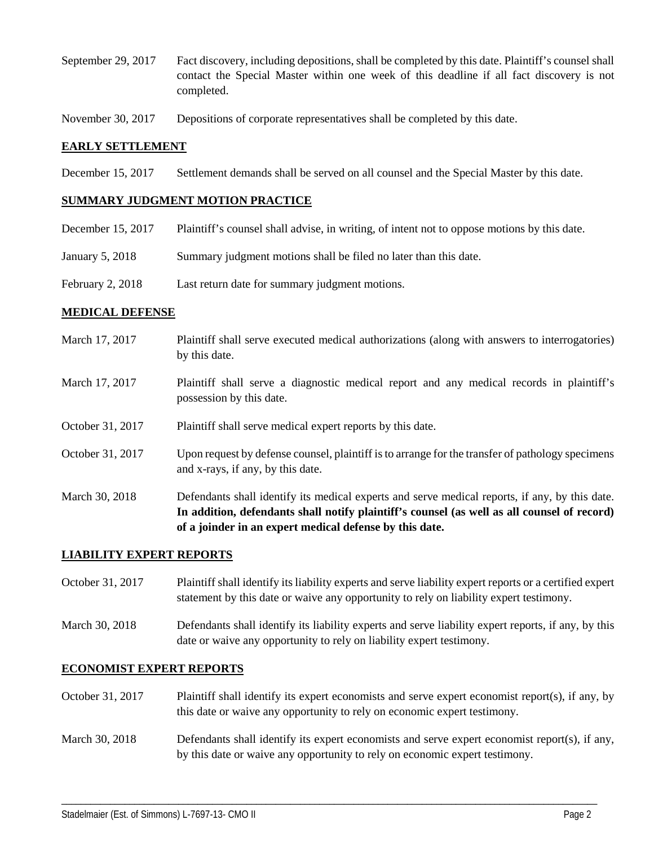- September 29, 2017 Fact discovery, including depositions, shall be completed by this date. Plaintiff's counsel shall contact the Special Master within one week of this deadline if all fact discovery is not completed.
- November 30, 2017 Depositions of corporate representatives shall be completed by this date.

# **EARLY SETTLEMENT**

December 15, 2017 Settlement demands shall be served on all counsel and the Special Master by this date.

#### **SUMMARY JUDGMENT MOTION PRACTICE**

| December 15, 2017 | Plaintiff's counsel shall advise, in writing, of intent not to oppose motions by this date. |
|-------------------|---------------------------------------------------------------------------------------------|
| January 5, 2018   | Summary judgment motions shall be filed no later than this date.                            |
| February 2, 2018  | Last return date for summary judgment motions.                                              |

## **MEDICAL DEFENSE**

- March 17, 2017 Plaintiff shall serve executed medical authorizations (along with answers to interrogatories) by this date.
- March 17, 2017 Plaintiff shall serve a diagnostic medical report and any medical records in plaintiff's possession by this date.
- October 31, 2017 Plaintiff shall serve medical expert reports by this date.
- October 31, 2017 Upon request by defense counsel, plaintiff is to arrange for the transfer of pathology specimens and x-rays, if any, by this date.
- March 30, 2018 Defendants shall identify its medical experts and serve medical reports, if any, by this date. **In addition, defendants shall notify plaintiff's counsel (as well as all counsel of record) of a joinder in an expert medical defense by this date.**

## **LIABILITY EXPERT REPORTS**

- October 31, 2017 Plaintiff shall identify its liability experts and serve liability expert reports or a certified expert statement by this date or waive any opportunity to rely on liability expert testimony.
- March 30, 2018 Defendants shall identify its liability experts and serve liability expert reports, if any, by this date or waive any opportunity to rely on liability expert testimony.

## **ECONOMIST EXPERT REPORTS**

- October 31, 2017 Plaintiff shall identify its expert economists and serve expert economist report(s), if any, by this date or waive any opportunity to rely on economic expert testimony.
- March 30, 2018 Defendants shall identify its expert economists and serve expert economist report(s), if any, by this date or waive any opportunity to rely on economic expert testimony.

\_\_\_\_\_\_\_\_\_\_\_\_\_\_\_\_\_\_\_\_\_\_\_\_\_\_\_\_\_\_\_\_\_\_\_\_\_\_\_\_\_\_\_\_\_\_\_\_\_\_\_\_\_\_\_\_\_\_\_\_\_\_\_\_\_\_\_\_\_\_\_\_\_\_\_\_\_\_\_\_\_\_\_\_\_\_\_\_\_\_\_\_\_\_\_\_\_\_\_\_\_\_\_\_\_\_\_\_\_\_